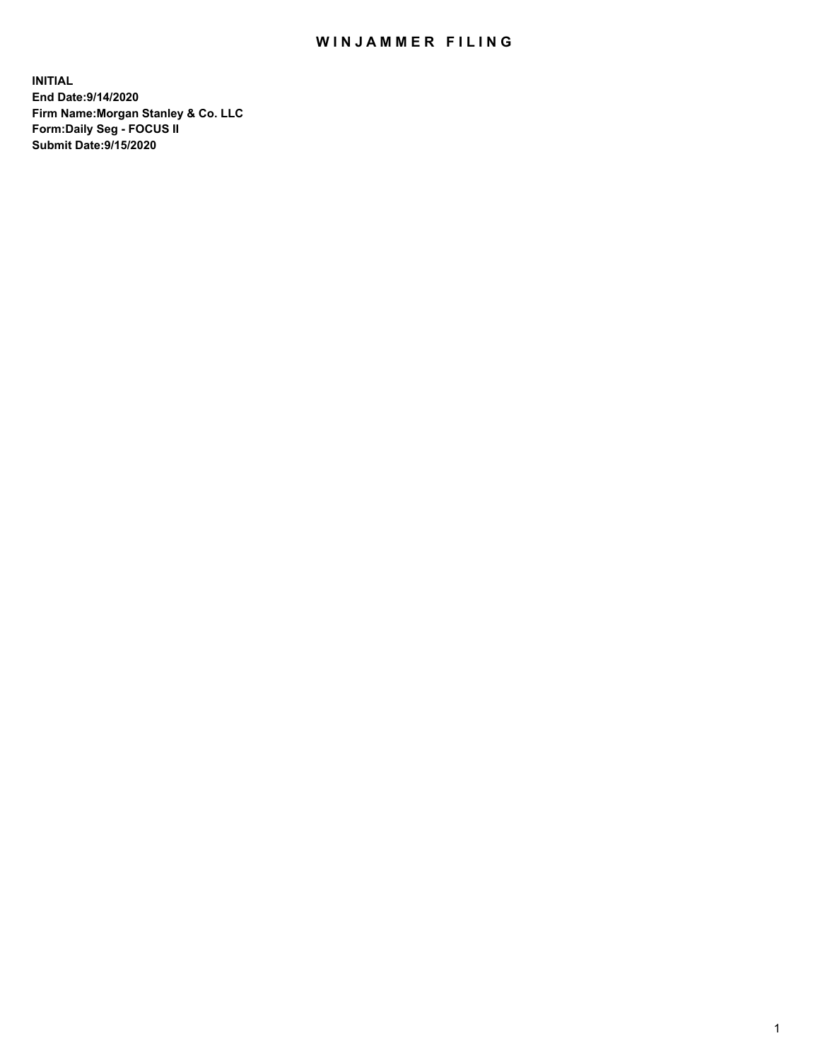## WIN JAMMER FILING

**INITIAL End Date:9/14/2020 Firm Name:Morgan Stanley & Co. LLC Form:Daily Seg - FOCUS II Submit Date:9/15/2020**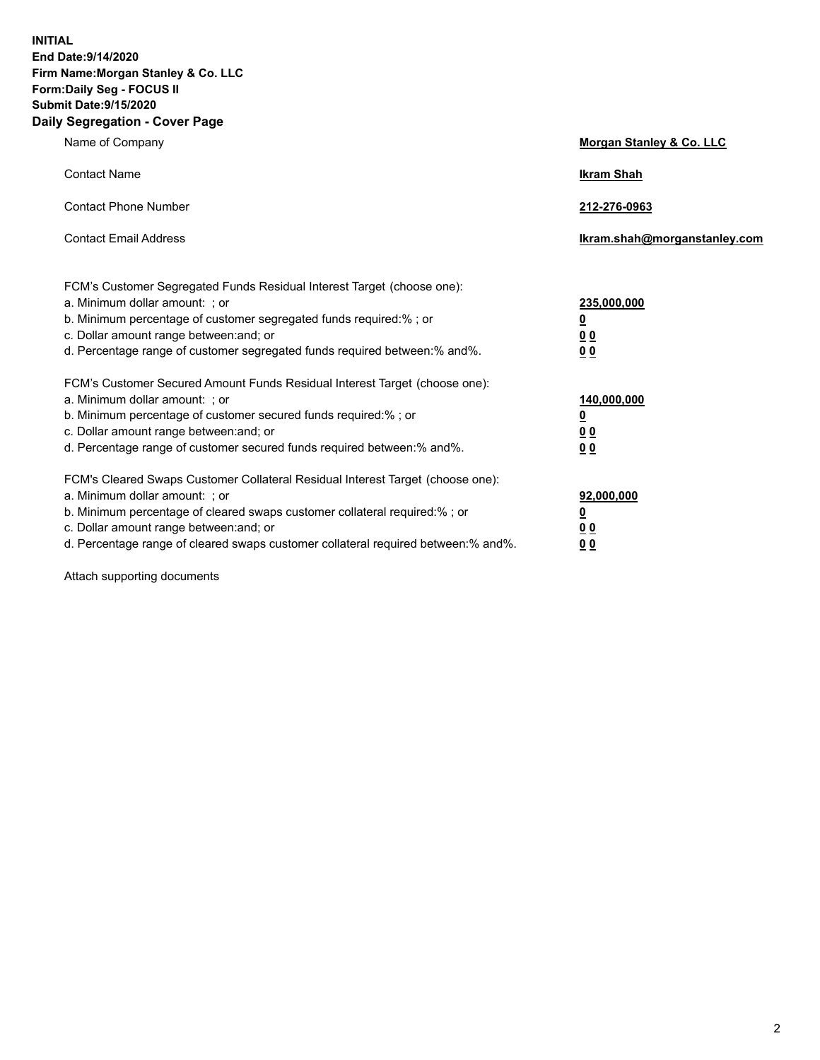**INITIAL End Date:9/14/2020 Firm Name:Morgan Stanley & Co. LLC Form:Daily Seg - FOCUS II Submit Date:9/15/2020 Daily Segregation - Cover Page**

| Name of Company                                                                   | Morgan Stanley & Co. LLC     |
|-----------------------------------------------------------------------------------|------------------------------|
| <b>Contact Name</b>                                                               | <b>Ikram Shah</b>            |
| <b>Contact Phone Number</b>                                                       | 212-276-0963                 |
| <b>Contact Email Address</b>                                                      | Ikram.shah@morganstanley.com |
| FCM's Customer Segregated Funds Residual Interest Target (choose one):            |                              |
| a. Minimum dollar amount: ; or                                                    | 235,000,000                  |
| b. Minimum percentage of customer segregated funds required:%; or                 | <u>0</u>                     |
| c. Dollar amount range between: and; or                                           | 0 <sub>0</sub>               |
| d. Percentage range of customer segregated funds required between: % and %.       | 0 <sub>0</sub>               |
| FCM's Customer Secured Amount Funds Residual Interest Target (choose one):        |                              |
| a. Minimum dollar amount: ; or                                                    | 140,000,000                  |
| b. Minimum percentage of customer secured funds required:%; or                    | <u>0</u>                     |
| c. Dollar amount range between: and; or                                           | <u>00</u>                    |
| d. Percentage range of customer secured funds required between:% and%.            | 0 <sub>0</sub>               |
| FCM's Cleared Swaps Customer Collateral Residual Interest Target (choose one):    |                              |
| a. Minimum dollar amount: ; or                                                    | 92,000,000                   |
| b. Minimum percentage of cleared swaps customer collateral required:% ; or        | <u>0</u>                     |
| c. Dollar amount range between: and; or                                           | <u>00</u>                    |
| d. Percentage range of cleared swaps customer collateral required between:% and%. | 00                           |

Attach supporting documents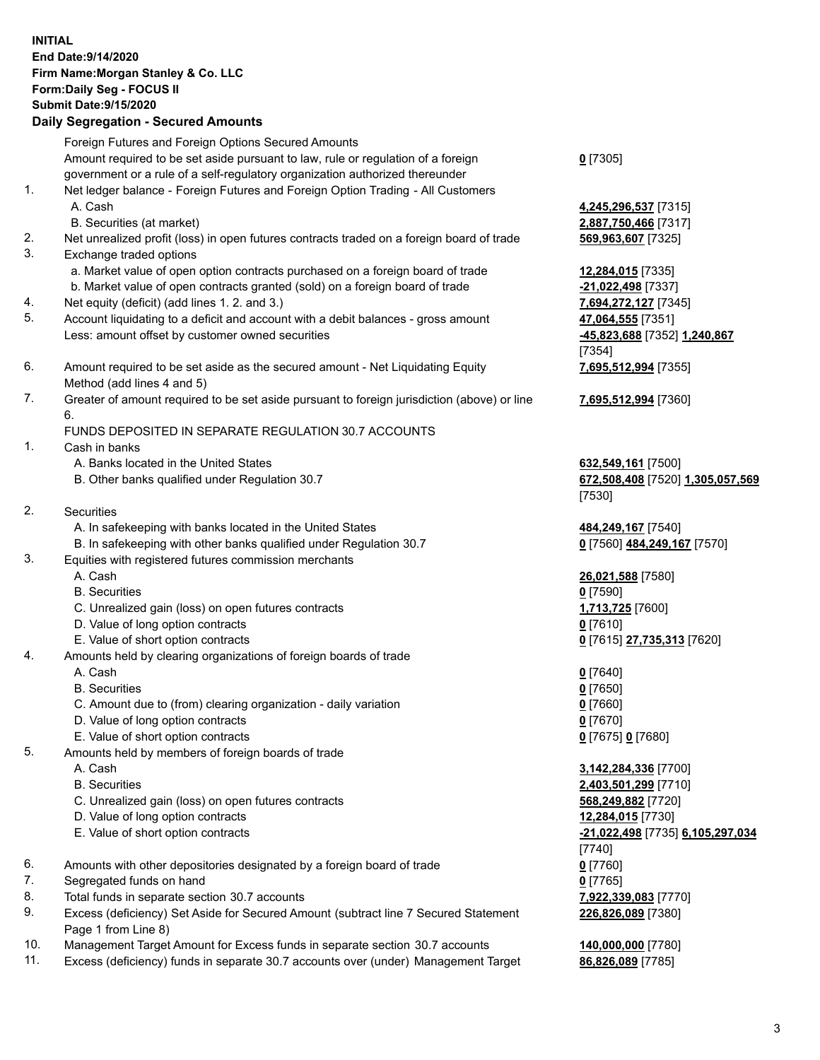| <b>INITIAL</b> | End Date: 9/14/2020<br>Firm Name: Morgan Stanley & Co. LLC<br>Form: Daily Seg - FOCUS II<br><b>Submit Date: 9/15/2020</b><br><b>Daily Segregation - Secured Amounts</b> |                                                                  |
|----------------|-------------------------------------------------------------------------------------------------------------------------------------------------------------------------|------------------------------------------------------------------|
|                | Foreign Futures and Foreign Options Secured Amounts                                                                                                                     |                                                                  |
|                | Amount required to be set aside pursuant to law, rule or regulation of a foreign<br>government or a rule of a self-regulatory organization authorized thereunder        | $0$ [7305]                                                       |
| 1.             | Net ledger balance - Foreign Futures and Foreign Option Trading - All Customers<br>A. Cash                                                                              | 4,245,296,537 [7315]                                             |
| 2.             | B. Securities (at market)                                                                                                                                               | 2,887,750,466 [7317]                                             |
| 3.             | Net unrealized profit (loss) in open futures contracts traded on a foreign board of trade<br>Exchange traded options                                                    | 569,963,607 [7325]                                               |
|                | a. Market value of open option contracts purchased on a foreign board of trade                                                                                          | 12,284,015 [7335]                                                |
|                | b. Market value of open contracts granted (sold) on a foreign board of trade                                                                                            | -21,022,498 [7337]                                               |
| 4.<br>5.       | Net equity (deficit) (add lines 1.2. and 3.)                                                                                                                            | 7,694,272,127 [7345]                                             |
|                | Account liquidating to a deficit and account with a debit balances - gross amount<br>Less: amount offset by customer owned securities                                   | 47,064,555 [7351]<br>-45,823,688 [7352] 1,240,867<br>[7354]      |
| 6.             | Amount required to be set aside as the secured amount - Net Liquidating Equity<br>Method (add lines 4 and 5)                                                            | 7,695,512,994 [7355]                                             |
| 7.             | Greater of amount required to be set aside pursuant to foreign jurisdiction (above) or line<br>6.                                                                       | 7,695,512,994 [7360]                                             |
|                | FUNDS DEPOSITED IN SEPARATE REGULATION 30.7 ACCOUNTS                                                                                                                    |                                                                  |
| 1.             | Cash in banks                                                                                                                                                           |                                                                  |
|                | A. Banks located in the United States<br>B. Other banks qualified under Regulation 30.7                                                                                 | 632,549,161 [7500]<br>672,508,408 [7520] 1,305,057,569<br>[7530] |
| 2.             | <b>Securities</b>                                                                                                                                                       |                                                                  |
|                | A. In safekeeping with banks located in the United States                                                                                                               | 484,249,167 [7540]                                               |
|                | B. In safekeeping with other banks qualified under Regulation 30.7                                                                                                      | 0 [7560] 484,249,167 [7570]                                      |
| 3.             | Equities with registered futures commission merchants<br>A. Cash                                                                                                        | 26,021,588 [7580]                                                |
|                | <b>B.</b> Securities                                                                                                                                                    | $0$ [7590]                                                       |
|                | C. Unrealized gain (loss) on open futures contracts                                                                                                                     | 1,713,725 [7600]                                                 |
|                | D. Value of long option contracts                                                                                                                                       | $0$ [7610]                                                       |
|                | E. Value of short option contracts                                                                                                                                      | 0 [7615] 27,735,313 [7620]                                       |
| 4.             | Amounts held by clearing organizations of foreign boards of trade                                                                                                       |                                                                  |
|                | A. Cash                                                                                                                                                                 | $0$ [7640]                                                       |
|                | <b>B.</b> Securities                                                                                                                                                    | $0$ [7650]                                                       |
|                | C. Amount due to (from) clearing organization - daily variation                                                                                                         | $0$ [7660]                                                       |
|                | D. Value of long option contracts                                                                                                                                       | $0$ [7670]                                                       |
|                | E. Value of short option contracts                                                                                                                                      | 0 [7675] 0 [7680]                                                |
| 5.             | Amounts held by members of foreign boards of trade                                                                                                                      |                                                                  |
|                | A. Cash                                                                                                                                                                 | 3,142,284,336 [7700]                                             |
|                | <b>B.</b> Securities                                                                                                                                                    | 2,403,501,299 [7710]                                             |
|                | C. Unrealized gain (loss) on open futures contracts                                                                                                                     | 568,249,882 [7720]                                               |
|                | D. Value of long option contracts                                                                                                                                       | 12,284,015 [7730]                                                |
|                | E. Value of short option contracts                                                                                                                                      | -21,022,498 [7735] 6,105,297,034<br>$[7740]$                     |
| 6.             | Amounts with other depositories designated by a foreign board of trade                                                                                                  | $0$ [7760]                                                       |
| 7.             | Segregated funds on hand                                                                                                                                                | 0 [7765]                                                         |
| 8.             | Total funds in separate section 30.7 accounts                                                                                                                           | 7,922,339,083 [7770]                                             |
| 9.             | Excess (deficiency) Set Aside for Secured Amount (subtract line 7 Secured Statement<br>Page 1 from Line 8)                                                              | 226,826,089 [7380]                                               |

- 10. Management Target Amount for Excess funds in separate section 30.7 accounts **140,000,000** [7780]
- 11. Excess (deficiency) funds in separate 30.7 accounts over (under) Management Target **86,826,089** [7785]

3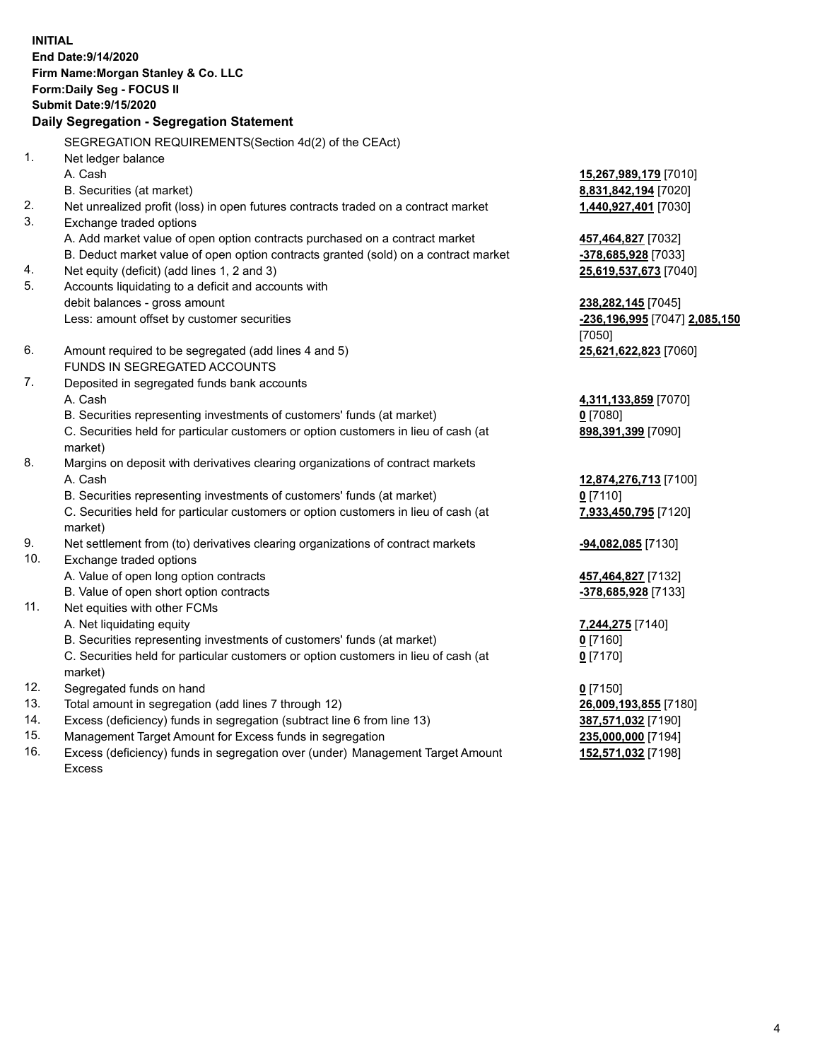**INITIAL End Date:9/14/2020 Firm Name:Morgan Stanley & Co. LLC Form:Daily Seg - FOCUS II Submit Date:9/15/2020 Daily Segregation - Segregation Statement** SEGREGATION REQUIREMENTS(Section 4d(2) of the CEAct) 1. Net ledger balance A. Cash **15,267,989,179** [7010] B. Securities (at market) **8,831,842,194** [7020] 2. Net unrealized profit (loss) in open futures contracts traded on a contract market **1,440,927,401** [7030] 3. Exchange traded options A. Add market value of open option contracts purchased on a contract market **457,464,827** [7032] B. Deduct market value of open option contracts granted (sold) on a contract market **-378,685,928** [7033] 4. Net equity (deficit) (add lines 1, 2 and 3) **25,619,537,673** [7040] 5. Accounts liquidating to a deficit and accounts with debit balances - gross amount **238,282,145** [7045] Less: amount offset by customer securities **-236,196,995** [7047] **2,085,150** [7050] 6. Amount required to be segregated (add lines 4 and 5) **25,621,622,823** [7060] FUNDS IN SEGREGATED ACCOUNTS 7. Deposited in segregated funds bank accounts A. Cash **4,311,133,859** [7070] B. Securities representing investments of customers' funds (at market) **0** [7080] C. Securities held for particular customers or option customers in lieu of cash (at market) **898,391,399** [7090] 8. Margins on deposit with derivatives clearing organizations of contract markets A. Cash **12,874,276,713** [7100] B. Securities representing investments of customers' funds (at market) **0** [7110] C. Securities held for particular customers or option customers in lieu of cash (at market) **7,933,450,795** [7120] 9. Net settlement from (to) derivatives clearing organizations of contract markets **-94,082,085** [7130] 10. Exchange traded options A. Value of open long option contracts **457,464,827** [7132] B. Value of open short option contracts **-378,685,928** [7133] 11. Net equities with other FCMs A. Net liquidating equity **7,244,275** [7140] B. Securities representing investments of customers' funds (at market) **0** [7160] C. Securities held for particular customers or option customers in lieu of cash (at market) **0** [7170] 12. Segregated funds on hand **0** [7150] 13. Total amount in segregation (add lines 7 through 12) **26,009,193,855** [7180] 14. Excess (deficiency) funds in segregation (subtract line 6 from line 13) **387,571,032** [7190]

- 15. Management Target Amount for Excess funds in segregation **235,000,000** [7194]
- 16. Excess (deficiency) funds in segregation over (under) Management Target Amount Excess

**152,571,032** [7198]